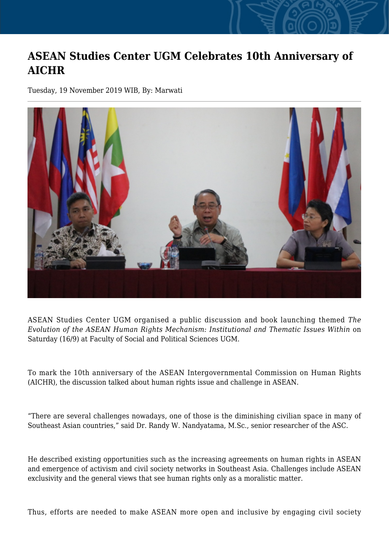## **ASEAN Studies Center UGM Celebrates 10th Anniversary of AICHR**

Tuesday, 19 November 2019 WIB, By: Marwati



ASEAN Studies Center UGM organised a public discussion and book launching themed *The Evolution of the ASEAN Human Rights Mechanism: Institutional and Thematic Issues Within* on Saturday (16/9) at Faculty of Social and Political Sciences UGM.

To mark the 10th anniversary of the ASEAN Intergovernmental Commission on Human Rights (AICHR), the discussion talked about human rights issue and challenge in ASEAN.

"There are several challenges nowadays, one of those is the diminishing civilian space in many of Southeast Asian countries," said Dr. Randy W. Nandyatama, M.Sc., senior researcher of the ASC.

He described existing opportunities such as the increasing agreements on human rights in ASEAN and emergence of activism and civil society networks in Southeast Asia. Challenges include ASEAN exclusivity and the general views that see human rights only as a moralistic matter.

Thus, efforts are needed to make ASEAN more open and inclusive by engaging civil society